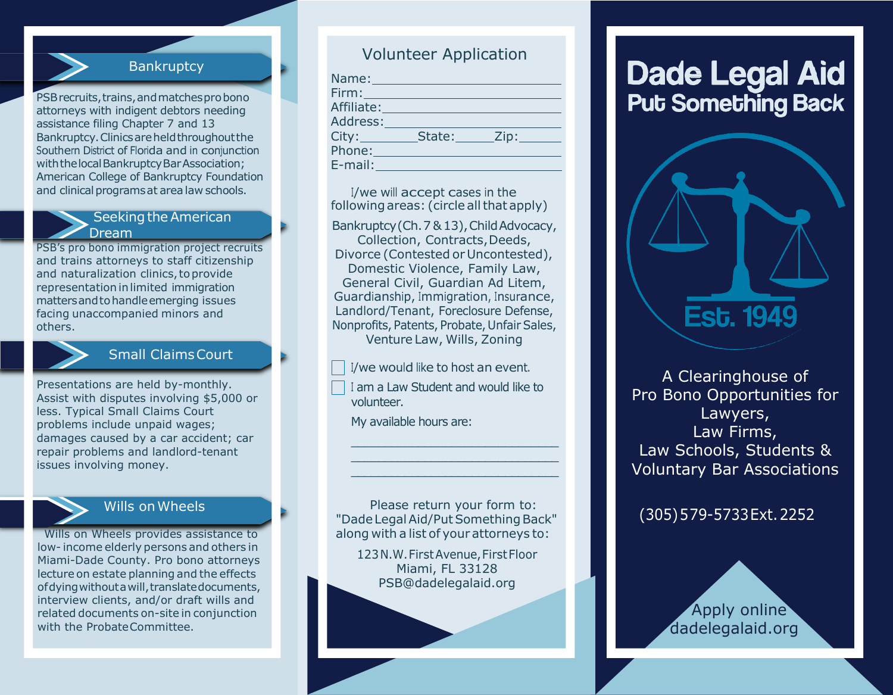

PSB recruits, trains, and matches probono attorneys with indigent debtors needing assistance filing Chapter 7 and 13 Bankruptcy.Clinicsareheldthroughoutthe Southern District of Florida and in conjunction with the local Bankruptcy Bar Association; American College of Bankruptcy Foundation and clinical programs at area law schools.

#### Seeking the American Dream

PSB's pro bono immigration project recruits and trains attorneys to staff citizenship and naturalization clinics, to provide representation in limited immigration mattersandtohandleemerging issues facing unaccompanied minors and others.

## Small ClaimsCourt

Presentations are held by-monthly. Assist with disputes involving \$5,000 or less. Typical Small Claims Court problems include unpaid wages; damages caused by a car accident; car repair problems and landlord-tenant issues involving money.



## Wills onWheels

Wills on Wheels provides assistance to low- income elderly persons and others in Miami-Dade County. Pro bono attorneys lecture on estate planning and the effects ofdyingwithoutawill,translatedocuments, interview clients, and/or draft wills and related documents on-site in conjunction with the ProbateCommittee.

# Volunteer Application

|                                     | Name: Name:                           |  |
|-------------------------------------|---------------------------------------|--|
|                                     | <u>Firm: ________________________</u> |  |
|                                     | Affiliate: Affiliate:                 |  |
|                                     | Address: 2008                         |  |
| City:                               | State: Zip:                           |  |
|                                     |                                       |  |
| $E$ -mail: $\_\_\_\_\_\_\_\_\_\_\_$ |                                       |  |

I/we will accept cases in the following areas: (circle all that apply)

Bankruptcy (Ch. 7 & 13), Child Advocacy, Collection, Contracts, Deeds, Divorce (Contested or Uncontested), Domestic Violence, Family Law, General Civil, Guardian Ad Litem, Guardianship, Immigration, Insurance, Landlord/Tenant, Foreclosure Defense, Nonprofits, Patents, Probate, Unfair Sales, Venture Law, Wills, Zoning

I/we would like to host an event.

<sup>I</sup> am a Law Student and would like to volunteer.

\_\_\_\_\_\_\_\_\_\_\_\_\_\_\_\_\_\_\_\_\_\_\_\_\_\_\_\_\_\_\_ \_\_\_\_\_\_\_\_\_\_\_\_\_\_\_\_\_\_\_\_\_\_\_\_\_\_\_\_\_\_\_ \_\_\_\_\_\_\_\_\_\_\_\_\_\_\_\_\_\_\_\_\_\_\_\_\_\_\_\_\_\_\_

My available hours are:

Please return your form to: "Dade Legal Aid/Put Something Back" along with a list of your attorneys to:

123N.W.FirstAvenue,FirstFloor Miami, FL 3312[8](mailto:PSB@dadelegalaid.org) [PSB@dadelegalaid.org](mailto:PSB@dadelegalaid.org)

# **Dade Legal Aid Put Something Back**



A Clearinghouse of Pro Bono Opportunities for Lawyers, Law Firms, Law Schools, Students & Voluntary Bar Associations

(305)5 79-5733Ext.2252

 Apply online dadelegalaid.org